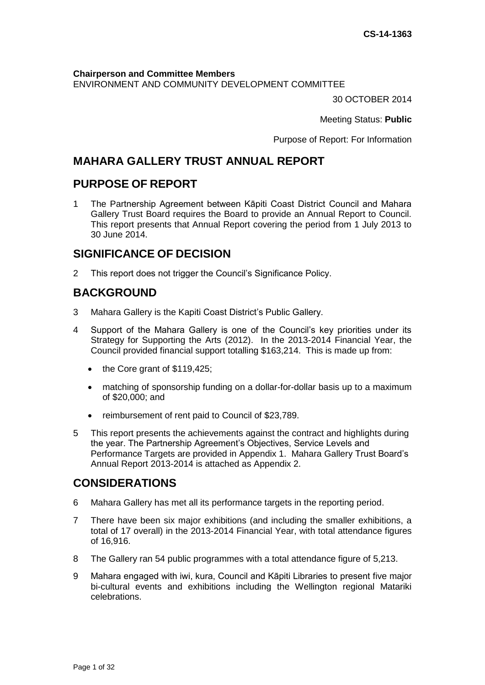**Chairperson and Committee Members**

ENVIRONMENT AND COMMUNITY DEVELOPMENT COMMITTEE

30 OCTOBER 2014

Meeting Status: **Public**

Purpose of Report: For Information

# **MAHARA GALLERY TRUST ANNUAL REPORT**

# **PURPOSE OF REPORT**

1 The Partnership Agreement between Kāpiti Coast District Council and Mahara Gallery Trust Board requires the Board to provide an Annual Report to Council. This report presents that Annual Report covering the period from 1 July 2013 to 30 June 2014.

# **SIGNIFICANCE OF DECISION**

2 This report does not trigger the Council's Significance Policy.

# **BACKGROUND**

- 3 Mahara Gallery is the Kapiti Coast District's Public Gallery.
- 4 Support of the Mahara Gallery is one of the Council's key priorities under its Strategy for Supporting the Arts (2012). In the 2013-2014 Financial Year, the Council provided financial support totalling \$163,214. This is made up from:
	- the Core grant of \$119,425;
	- matching of sponsorship funding on a dollar-for-dollar basis up to a maximum of \$20,000; and
	- reimbursement of rent paid to Council of \$23,789.
- 5 This report presents the achievements against the contract and highlights during the year. The Partnership Agreement's Objectives, Service Levels and Performance Targets are provided in Appendix 1. Mahara Gallery Trust Board's Annual Report 2013-2014 is attached as Appendix 2.

# **CONSIDERATIONS**

- 6 Mahara Gallery has met all its performance targets in the reporting period.
- 7 There have been six major exhibitions (and including the smaller exhibitions, a total of 17 overall) in the 2013-2014 Financial Year, with total attendance figures of 16,916.
- 8 The Gallery ran 54 public programmes with a total attendance figure of 5,213.
- 9 Mahara engaged with iwi, kura, Council and Kāpiti Libraries to present five major bi-cultural events and exhibitions including the Wellington regional Matariki celebrations.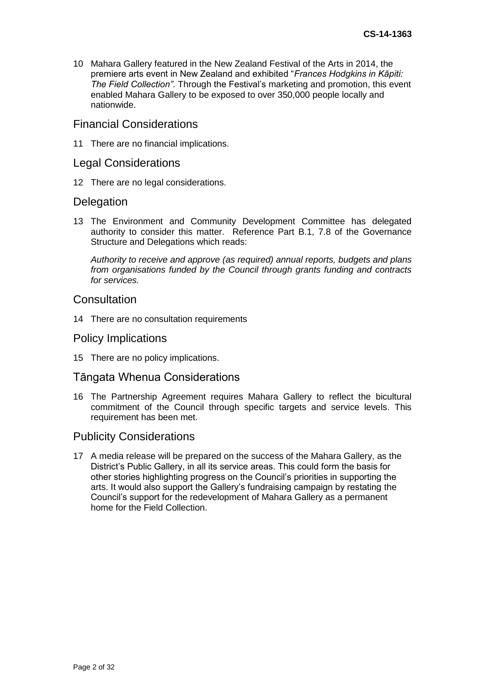10 Mahara Gallery featured in the New Zealand Festival of the Arts in 2014, the premiere arts event in New Zealand and exhibited "*Frances Hodgkins in Kāpiti: The Field Collection"*. Through the Festival's marketing and promotion, this event enabled Mahara Gallery to be exposed to over 350,000 people locally and nationwide.

### Financial Considerations

11 There are no financial implications.

### Legal Considerations

12 There are no legal considerations.

### **Delegation**

13 The Environment and Community Development Committee has delegated authority to consider this matter. Reference Part B.1, 7.8 of the Governance Structure and Delegations which reads:

*Authority to receive and approve (as required) annual reports, budgets and plans from organisations funded by the Council through grants funding and contracts for services.*

# **Consultation**

14 There are no consultation requirements

### Policy Implications

15 There are no policy implications.

# Tāngata Whenua Considerations

16 The Partnership Agreement requires Mahara Gallery to reflect the bicultural commitment of the Council through specific targets and service levels. This requirement has been met.

### Publicity Considerations

17 A media release will be prepared on the success of the Mahara Gallery, as the District's Public Gallery, in all its service areas. This could form the basis for other stories highlighting progress on the Council's priorities in supporting the arts. It would also support the Gallery's fundraising campaign by restating the Council's support for the redevelopment of Mahara Gallery as a permanent home for the Field Collection.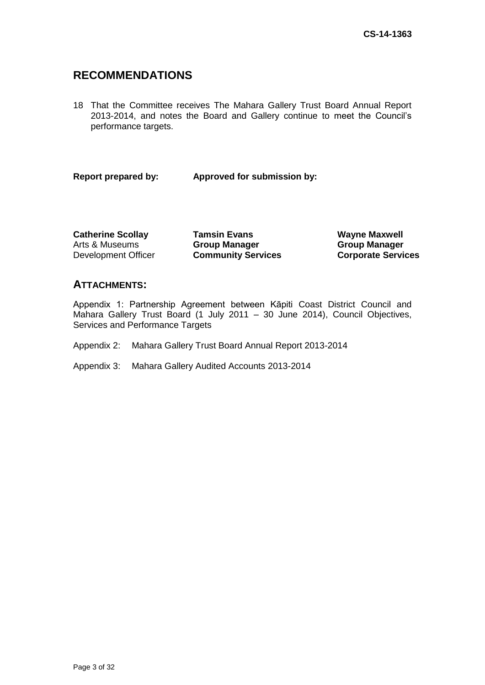# **RECOMMENDATIONS**

18 That the Committee receives The Mahara Gallery Trust Board Annual Report 2013-2014, and notes the Board and Gallery continue to meet the Council's performance targets.

**Report prepared by: Approved for submission by:**

Arts & Museums Development Officer

**Catherine Scollay <b>Tamsin Evans Wayne Maxwell Group Manager Community Services**

**Group Manager Corporate Services**

# **ATTACHMENTS:**

Appendix 1: Partnership Agreement between Kāpiti Coast District Council and Mahara Gallery Trust Board (1 July 2011 – 30 June 2014), Council Objectives, Services and Performance Targets

- Appendix 2: Mahara Gallery Trust Board Annual Report 2013-2014
- Appendix 3: Mahara Gallery Audited Accounts 2013-2014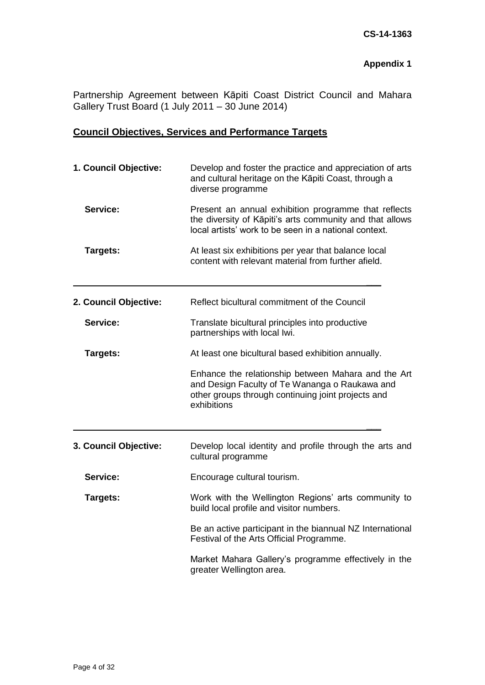# **Appendix 1**

Partnership Agreement between Kāpiti Coast District Council and Mahara Gallery Trust Board (1 July 2011 – 30 June 2014)

# **Council Objectives, Services and Performance Targets**

| 1. Council Objective: | Develop and foster the practice and appreciation of arts<br>and cultural heritage on the Kāpiti Coast, through a<br>diverse programme                                                                                                                                                    |  |  |
|-----------------------|------------------------------------------------------------------------------------------------------------------------------------------------------------------------------------------------------------------------------------------------------------------------------------------|--|--|
| Service:              | Present an annual exhibition programme that reflects<br>the diversity of Kāpiti's arts community and that allows<br>local artists' work to be seen in a national context.<br>At least six exhibitions per year that balance local<br>content with relevant material from further afield. |  |  |
| Targets:              |                                                                                                                                                                                                                                                                                          |  |  |
| 2. Council Objective: | Reflect bicultural commitment of the Council                                                                                                                                                                                                                                             |  |  |
| Service:              | Translate bicultural principles into productive<br>partnerships with local lwi.                                                                                                                                                                                                          |  |  |
| Targets:              | At least one bicultural based exhibition annually.                                                                                                                                                                                                                                       |  |  |
|                       | Enhance the relationship between Mahara and the Art<br>and Design Faculty of Te Wananga o Raukawa and<br>other groups through continuing joint projects and<br>exhibitions                                                                                                               |  |  |
| 3. Council Objective: | Develop local identity and profile through the arts and<br>cultural programme                                                                                                                                                                                                            |  |  |
| Service:              | Encourage cultural tourism.                                                                                                                                                                                                                                                              |  |  |
| Targets:              | Work with the Wellington Regions' arts community to<br>build local profile and visitor numbers.                                                                                                                                                                                          |  |  |
|                       | Be an active participant in the biannual NZ International<br>Festival of the Arts Official Programme.                                                                                                                                                                                    |  |  |
|                       | Market Mahara Gallery's programme effectively in the<br>greater Wellington area.                                                                                                                                                                                                         |  |  |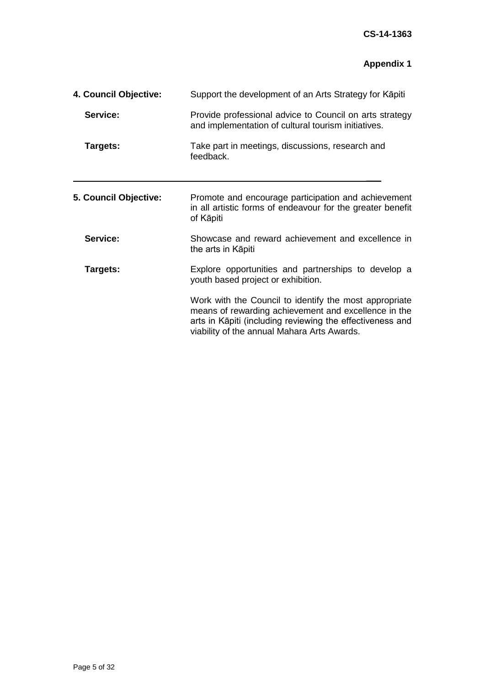# **Appendix 1**

| 4. Council Objective: | Support the development of an Arts Strategy for Kapiti<br>Provide professional advice to Council on arts strategy<br>and implementation of cultural tourism initiatives.<br>Take part in meetings, discussions, research and<br>feedback. |  |
|-----------------------|-------------------------------------------------------------------------------------------------------------------------------------------------------------------------------------------------------------------------------------------|--|
| Service:              |                                                                                                                                                                                                                                           |  |
| Targets:              |                                                                                                                                                                                                                                           |  |
| 5. Council Objective: | Promote and encourage participation and achievement<br>in all artistic forms of endeavour for the greater benefit<br>of Kāpiti                                                                                                            |  |
| Service:              | Showcase and reward achievement and excellence in<br>the arts in Kāpiti                                                                                                                                                                   |  |
| Targets:              | Explore opportunities and partnerships to develop a<br>youth based project or exhibition.                                                                                                                                                 |  |
|                       | Work with the Council to identify the most appropriate<br>means of rewarding achievement and excellence in the<br>arts in Kāpiti (including reviewing the effectiveness and<br>viability of the annual Mahara Arts Awards.                |  |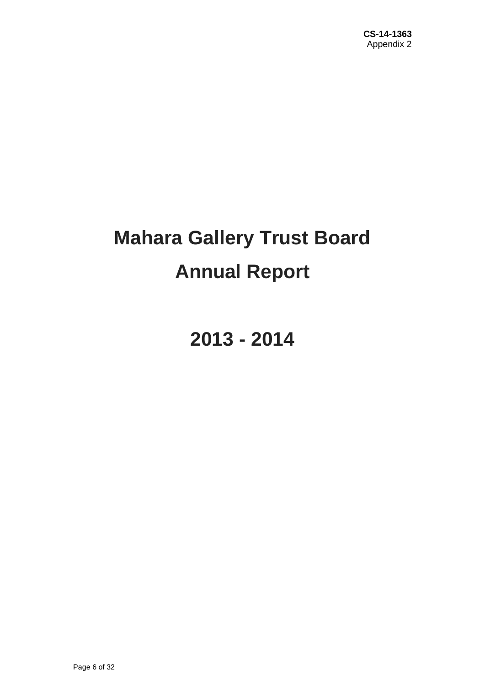# **Mahara Gallery Trust Board Annual Report**

**2013 - 2014**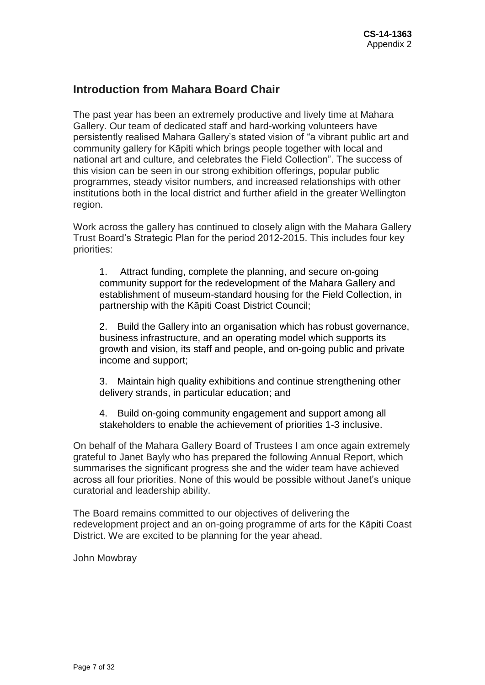# **Introduction from Mahara Board Chair**

The past year has been an extremely productive and lively time at Mahara Gallery. Our team of dedicated staff and hard-working volunteers have persistently realised Mahara Gallery's stated vision of "a vibrant public art and community gallery for Kāpiti which brings people together with local and national art and culture, and celebrates the Field Collection". The success of this vision can be seen in our strong exhibition offerings, popular public programmes, steady visitor numbers, and increased relationships with other institutions both in the local district and further afield in the greater Wellington region.

Work across the gallery has continued to closely align with the Mahara Gallery Trust Board's Strategic Plan for the period 2012-2015. This includes four key priorities:

1. Attract funding, complete the planning, and secure on-going community support for the redevelopment of the Mahara Gallery and establishment of museum-standard housing for the Field Collection, in partnership with the Kāpiti Coast District Council;

2. Build the Gallery into an organisation which has robust governance, business infrastructure, and an operating model which supports its growth and vision, its staff and people, and on-going public and private income and support;

3. Maintain high quality exhibitions and continue strengthening other delivery strands, in particular education; and

4. Build on-going community engagement and support among all stakeholders to enable the achievement of priorities 1-3 inclusive.

On behalf of the Mahara Gallery Board of Trustees I am once again extremely grateful to Janet Bayly who has prepared the following Annual Report, which summarises the significant progress she and the wider team have achieved across all four priorities. None of this would be possible without Janet's unique curatorial and leadership ability.

The Board remains committed to our objectives of delivering the redevelopment project and an on-going programme of arts for the Kāpiti Coast District. We are excited to be planning for the year ahead.

John Mowbray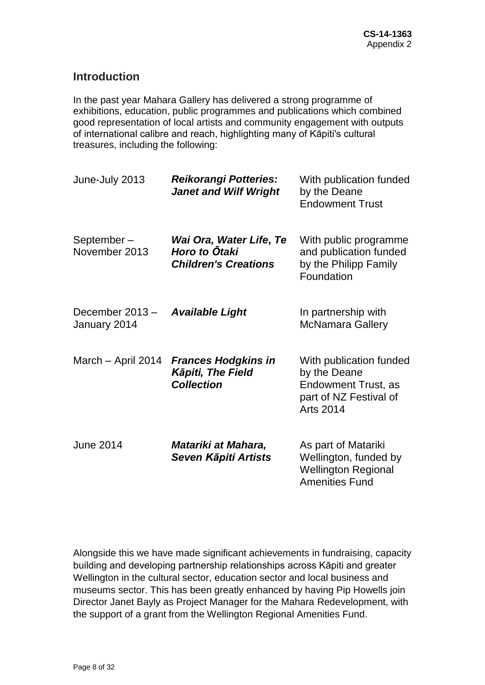# **Introduction**

In the past year Mahara Gallery has delivered a strong programme of exhibitions, education, public programmes and publications which combined good representation of local artists and community engagement with outputs of international calibre and reach, highlighting many of Kāpiti's cultural treasures, including the following:

| June-July 2013                 | <b>Reikorangi Potteries:</b><br><b>Janet and Wilf Wright</b>                   | With publication funded<br>by the Deane<br><b>Endowment Trust</b>                                                   |
|--------------------------------|--------------------------------------------------------------------------------|---------------------------------------------------------------------------------------------------------------------|
| September-<br>November 2013    | Wai Ora, Water Life, Te<br><b>Horo to Ōtaki</b><br><b>Children's Creations</b> | With public programme<br>and publication funded<br>by the Philipp Family<br>Foundation                              |
| December 2013-<br>January 2014 | <b>Available Light</b>                                                         | In partnership with<br><b>McNamara Gallery</b>                                                                      |
| March - April 2014             | <b>Frances Hodgkins in</b><br><b>Kāpiti, The Field</b><br><b>Collection</b>    | With publication funded<br>by the Deane<br><b>Endowment Trust, as</b><br>part of NZ Festival of<br><b>Arts 2014</b> |
| <b>June 2014</b>               | Matariki at Mahara,<br>Seven Kāpiti Artists                                    | As part of Matariki<br>Wellington, funded by<br><b>Wellington Regional</b><br><b>Amenities Fund</b>                 |

Alongside this we have made significant achievements in fundraising, capacity building and developing partnership relationships across Kāpiti and greater Wellington in the cultural sector, education sector and local business and museums sector. This has been greatly enhanced by having Pip Howells join Director Janet Bayly as Project Manager for the Mahara Redevelopment, with the support of a grant from the Wellington Regional Amenities Fund.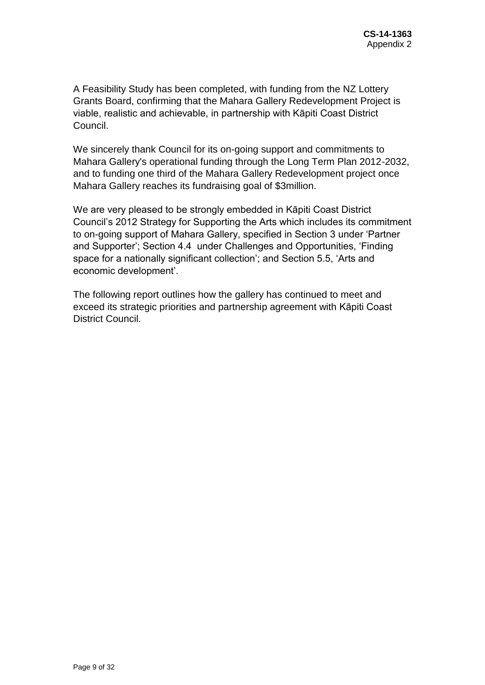A Feasibility Study has been completed, with funding from the NZ Lottery Grants Board, confirming that the Mahara Gallery Redevelopment Project is viable, realistic and achievable, in partnership with Kāpiti Coast District Council.

We sincerely thank Council for its on-going support and commitments to Mahara Gallery's operational funding through the Long Term Plan 2012-2032, and to funding one third of the Mahara Gallery Redevelopment project once Mahara Gallery reaches its fundraising goal of \$3million.

We are very pleased to be strongly embedded in Kāpiti Coast District Council's 2012 Strategy for Supporting the Arts which includes its commitment to on-going support of Mahara Gallery, specified in Section 3 under 'Partner and Supporter'; Section 4.4 under Challenges and Opportunities, 'Finding space for a nationally significant collection'; and Section 5.5, 'Arts and economic development'.

The following report outlines how the gallery has continued to meet and exceed its strategic priorities and partnership agreement with Kāpiti Coast District Council.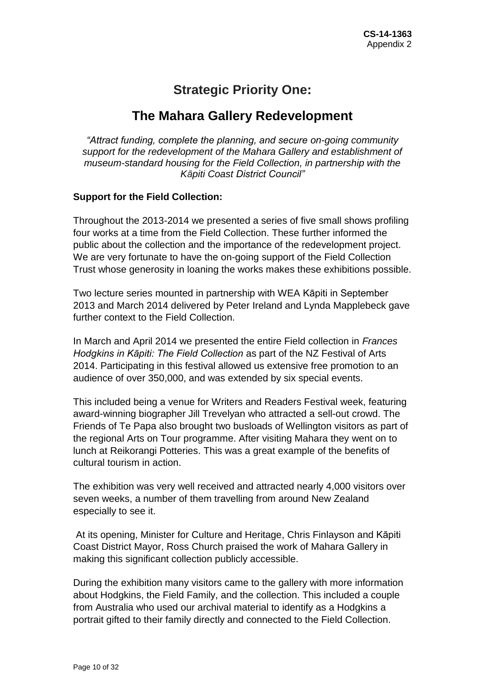# **Strategic Priority One:**

# **The Mahara Gallery Redevelopment**

*"Attract funding, complete the planning, and secure on-going community support for the redevelopment of the Mahara Gallery and establishment of museum-standard housing for the Field Collection, in partnership with the Kāpiti Coast District Council"*

# **Support for the Field Collection:**

Throughout the 2013-2014 we presented a series of five small shows profiling four works at a time from the Field Collection. These further informed the public about the collection and the importance of the redevelopment project. We are very fortunate to have the on-going support of the Field Collection Trust whose generosity in loaning the works makes these exhibitions possible.

Two lecture series mounted in partnership with WEA Kāpiti in September 2013 and March 2014 delivered by Peter Ireland and Lynda Mapplebeck gave further context to the Field Collection.

In March and April 2014 we presented the entire Field collection in *Frances Hodgkins in Kāpiti: The Field Collection* as part of the NZ Festival of Arts 2014. Participating in this festival allowed us extensive free promotion to an audience of over 350,000, and was extended by six special events.

This included being a venue for Writers and Readers Festival week, featuring award-winning biographer Jill Trevelyan who attracted a sell-out crowd. The Friends of Te Papa also brought two busloads of Wellington visitors as part of the regional Arts on Tour programme. After visiting Mahara they went on to lunch at Reikorangi Potteries. This was a great example of the benefits of cultural tourism in action.

The exhibition was very well received and attracted nearly 4,000 visitors over seven weeks, a number of them travelling from around New Zealand especially to see it.

At its opening, Minister for Culture and Heritage, Chris Finlayson and Kāpiti Coast District Mayor, Ross Church praised the work of Mahara Gallery in making this significant collection publicly accessible.

During the exhibition many visitors came to the gallery with more information about Hodgkins, the Field Family, and the collection. This included a couple from Australia who used our archival material to identify as a Hodgkins a portrait gifted to their family directly and connected to the Field Collection.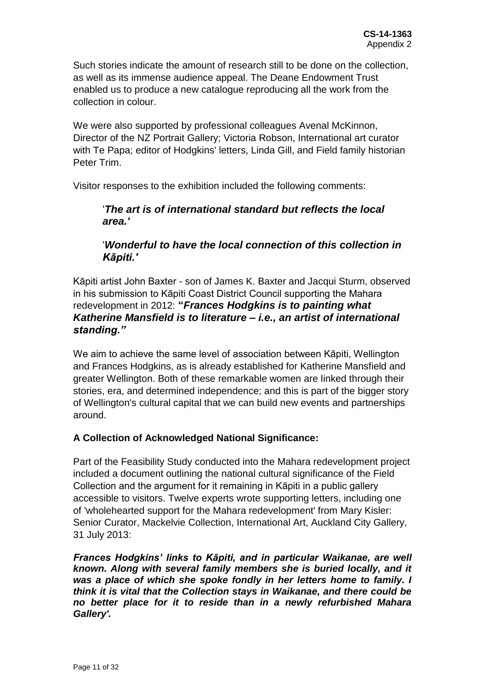Such stories indicate the amount of research still to be done on the collection, as well as its immense audience appeal. The Deane Endowment Trust enabled us to produce a new catalogue reproducing all the work from the collection in colour.

We were also supported by professional colleagues Avenal McKinnon, Director of the NZ Portrait Gallery; Victoria Robson, International art curator with Te Papa; editor of Hodgkins' letters, Linda Gill, and Field family historian Peter Trim.

Visitor responses to the exhibition included the following comments:

# '*The art is of international standard but reflects the local area.'*

# '*Wonderful to have the local connection of this collection in Kāpiti.'*

Kāpiti artist John Baxter - son of James K. Baxter and Jacqui Sturm, observed in his submission to Kāpiti Coast District Council supporting the Mahara redevelopment in 2012: **"***Frances Hodgkins is to painting what Katherine Mansfield is to literature – i.e., an artist of international standing."*

We aim to achieve the same level of association between Kāpiti, Wellington and Frances Hodgkins, as is already established for Katherine Mansfield and greater Wellington. Both of these remarkable women are linked through their stories, era, and determined independence; and this is part of the bigger story of Wellington's cultural capital that we can build new events and partnerships around.

# **A Collection of Acknowledged National Significance:**

Part of the Feasibility Study conducted into the Mahara redevelopment project included a document outlining the national cultural significance of the Field Collection and the argument for it remaining in Kāpiti in a public gallery accessible to visitors. Twelve experts wrote supporting letters, including one of 'wholehearted support for the Mahara redevelopment' from Mary Kisler: Senior Curator, Mackelvie Collection, International Art, Auckland City Gallery, 31 July 2013:

*Frances Hodgkins' links to Kāpiti, and in particular Waikanae, are well known. Along with several family members she is buried locally, and it was a place of which she spoke fondly in her letters home to family. I think it is vital that the Collection stays in Waikanae, and there could be no better place for it to reside than in a newly refurbished Mahara Gallery'.*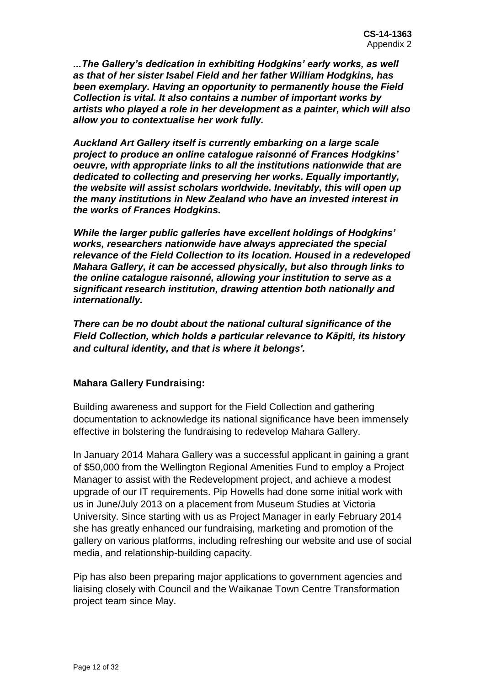*...The Gallery's dedication in exhibiting Hodgkins' early works, as well as that of her sister Isabel Field and her father William Hodgkins, has been exemplary. Having an opportunity to permanently house the Field Collection is vital. It also contains a number of important works by artists who played a role in her development as a painter, which will also allow you to contextualise her work fully.* 

*Auckland Art Gallery itself is currently embarking on a large scale project to produce an online catalogue raisonné of Frances Hodgkins' oeuvre, with appropriate links to all the institutions nationwide that are dedicated to collecting and preserving her works. Equally importantly, the website will assist scholars worldwide. Inevitably, this will open up the many institutions in New Zealand who have an invested interest in the works of Frances Hodgkins.* 

*While the larger public galleries have excellent holdings of Hodgkins' works, researchers nationwide have always appreciated the special relevance of the Field Collection to its location. Housed in a redeveloped Mahara Gallery, it can be accessed physically, but also through links to the online catalogue raisonné, allowing your institution to serve as a significant research institution, drawing attention both nationally and internationally.*

*There can be no doubt about the national cultural significance of the Field Collection, which holds a particular relevance to Kāpiti, its history and cultural identity, and that is where it belongs'.* 

# **Mahara Gallery Fundraising:**

Building awareness and support for the Field Collection and gathering documentation to acknowledge its national significance have been immensely effective in bolstering the fundraising to redevelop Mahara Gallery.

In January 2014 Mahara Gallery was a successful applicant in gaining a grant of \$50,000 from the Wellington Regional Amenities Fund to employ a Project Manager to assist with the Redevelopment project, and achieve a modest upgrade of our IT requirements. Pip Howells had done some initial work with us in June/July 2013 on a placement from Museum Studies at Victoria University. Since starting with us as Project Manager in early February 2014 she has greatly enhanced our fundraising, marketing and promotion of the gallery on various platforms, including refreshing our website and use of social media, and relationship-building capacity.

Pip has also been preparing major applications to government agencies and liaising closely with Council and the Waikanae Town Centre Transformation project team since May.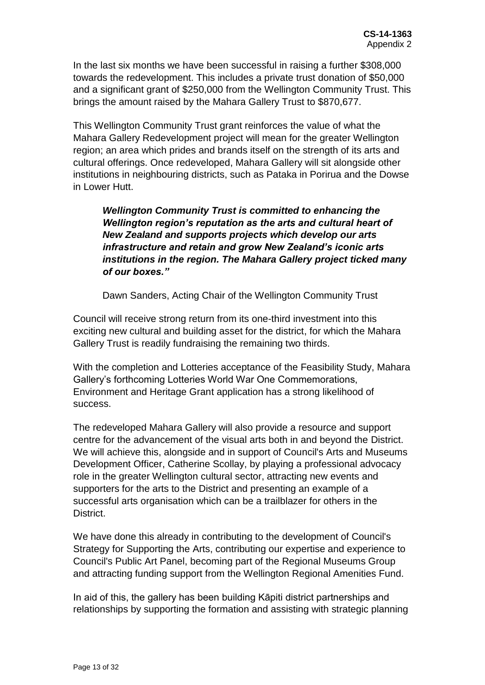In the last six months we have been successful in raising a further \$308,000 towards the redevelopment. This includes a private trust donation of \$50,000 and a significant grant of \$250,000 from the Wellington Community Trust. This brings the amount raised by the Mahara Gallery Trust to \$870,677.

This Wellington Community Trust grant reinforces the value of what the Mahara Gallery Redevelopment project will mean for the greater Wellington region; an area which prides and brands itself on the strength of its arts and cultural offerings. Once redeveloped, Mahara Gallery will sit alongside other institutions in neighbouring districts, such as Pataka in Porirua and the Dowse in Lower Hutt.

*Wellington Community Trust is committed to enhancing the Wellington region's reputation as the arts and cultural heart of New Zealand and supports projects which develop our arts infrastructure and retain and grow New Zealand's iconic arts institutions in the region. The Mahara Gallery project ticked many of our boxes."*

Dawn Sanders, Acting Chair of the Wellington Community Trust

Council will receive strong return from its one-third investment into this exciting new cultural and building asset for the district, for which the Mahara Gallery Trust is readily fundraising the remaining two thirds.

With the completion and Lotteries acceptance of the Feasibility Study, Mahara Gallery's forthcoming Lotteries World War One Commemorations, Environment and Heritage Grant application has a strong likelihood of success.

The redeveloped Mahara Gallery will also provide a resource and support centre for the advancement of the visual arts both in and beyond the District. We will achieve this, alongside and in support of Council's Arts and Museums Development Officer, Catherine Scollay, by playing a professional advocacy role in the greater Wellington cultural sector, attracting new events and supporters for the arts to the District and presenting an example of a successful arts organisation which can be a trailblazer for others in the District.

We have done this already in contributing to the development of Council's Strategy for Supporting the Arts, contributing our expertise and experience to Council's Public Art Panel, becoming part of the Regional Museums Group and attracting funding support from the Wellington Regional Amenities Fund.

In aid of this, the gallery has been building Kāpiti district partnerships and relationships by supporting the formation and assisting with strategic planning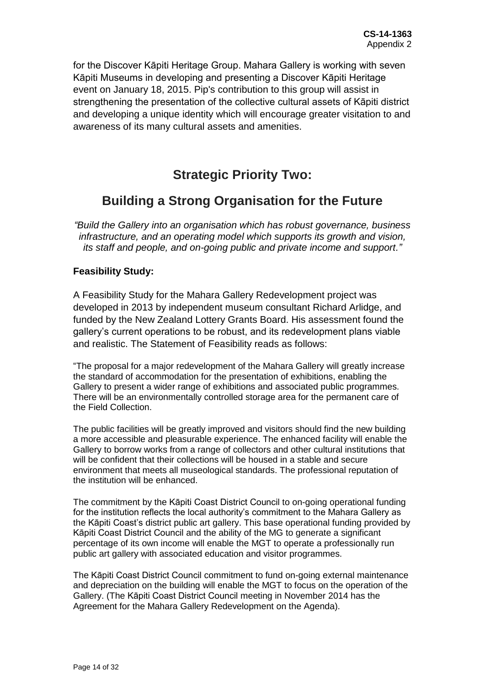for the Discover Kāpiti Heritage Group. Mahara Gallery is working with seven Kāpiti Museums in developing and presenting a Discover Kāpiti Heritage event on January 18, 2015. Pip's contribution to this group will assist in strengthening the presentation of the collective cultural assets of Kāpiti district and developing a unique identity which will encourage greater visitation to and awareness of its many cultural assets and amenities.

# **Strategic Priority Two:**

# **Building a Strong Organisation for the Future**

*"Build the Gallery into an organisation which has robust governance, business infrastructure, and an operating model which supports its growth and vision, its staff and people, and on-going public and private income and support."*

# **Feasibility Study:**

A Feasibility Study for the Mahara Gallery Redevelopment project was developed in 2013 by independent museum consultant Richard Arlidge, and funded by the New Zealand Lottery Grants Board. His assessment found the gallery's current operations to be robust, and its redevelopment plans viable and realistic. The Statement of Feasibility reads as follows:

"The proposal for a major redevelopment of the Mahara Gallery will greatly increase the standard of accommodation for the presentation of exhibitions, enabling the Gallery to present a wider range of exhibitions and associated public programmes. There will be an environmentally controlled storage area for the permanent care of the Field Collection.

The public facilities will be greatly improved and visitors should find the new building a more accessible and pleasurable experience. The enhanced facility will enable the Gallery to borrow works from a range of collectors and other cultural institutions that will be confident that their collections will be housed in a stable and secure environment that meets all museological standards. The professional reputation of the institution will be enhanced.

The commitment by the Kāpiti Coast District Council to on-going operational funding for the institution reflects the local authority's commitment to the Mahara Gallery as the Kāpiti Coast's district public art gallery. This base operational funding provided by Kāpiti Coast District Council and the ability of the MG to generate a significant percentage of its own income will enable the MGT to operate a professionally run public art gallery with associated education and visitor programmes.

The Kāpiti Coast District Council commitment to fund on-going external maintenance and depreciation on the building will enable the MGT to focus on the operation of the Gallery. (The Kāpiti Coast District Council meeting in November 2014 has the Agreement for the Mahara Gallery Redevelopment on the Agenda).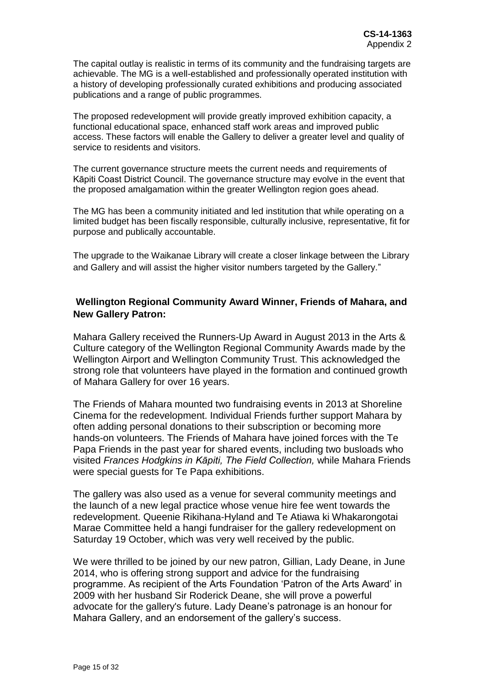The capital outlay is realistic in terms of its community and the fundraising targets are achievable. The MG is a well-established and professionally operated institution with a history of developing professionally curated exhibitions and producing associated publications and a range of public programmes.

The proposed redevelopment will provide greatly improved exhibition capacity, a functional educational space, enhanced staff work areas and improved public access. These factors will enable the Gallery to deliver a greater level and quality of service to residents and visitors.

The current governance structure meets the current needs and requirements of Kāpiti Coast District Council. The governance structure may evolve in the event that the proposed amalgamation within the greater Wellington region goes ahead.

The MG has been a community initiated and led institution that while operating on a limited budget has been fiscally responsible, culturally inclusive, representative, fit for purpose and publically accountable.

The upgrade to the Waikanae Library will create a closer linkage between the Library and Gallery and will assist the higher visitor numbers targeted by the Gallery."

# **Wellington Regional Community Award Winner, Friends of Mahara, and New Gallery Patron:**

Mahara Gallery received the Runners-Up Award in August 2013 in the Arts & Culture category of the Wellington Regional Community Awards made by the Wellington Airport and Wellington Community Trust. This acknowledged the strong role that volunteers have played in the formation and continued growth of Mahara Gallery for over 16 years.

The Friends of Mahara mounted two fundraising events in 2013 at Shoreline Cinema for the redevelopment. Individual Friends further support Mahara by often adding personal donations to their subscription or becoming more hands-on volunteers. The Friends of Mahara have joined forces with the Te Papa Friends in the past year for shared events, including two busloads who visited *Frances Hodgkins in Kāpiti, The Field Collection,* while Mahara Friends were special guests for Te Papa exhibitions.

The gallery was also used as a venue for several community meetings and the launch of a new legal practice whose venue hire fee went towards the redevelopment. Queenie Rikihana-Hyland and Te Atiawa ki Whakarongotai Marae Committee held a hangi fundraiser for the gallery redevelopment on Saturday 19 October, which was very well received by the public.

We were thrilled to be joined by our new patron, Gillian, Lady Deane, in June 2014, who is offering strong support and advice for the fundraising programme. As recipient of the Arts Foundation 'Patron of the Arts Award' in 2009 with her husband Sir Roderick Deane, she will prove a powerful advocate for the gallery's future. Lady Deane's patronage is an honour for Mahara Gallery, and an endorsement of the gallery's success.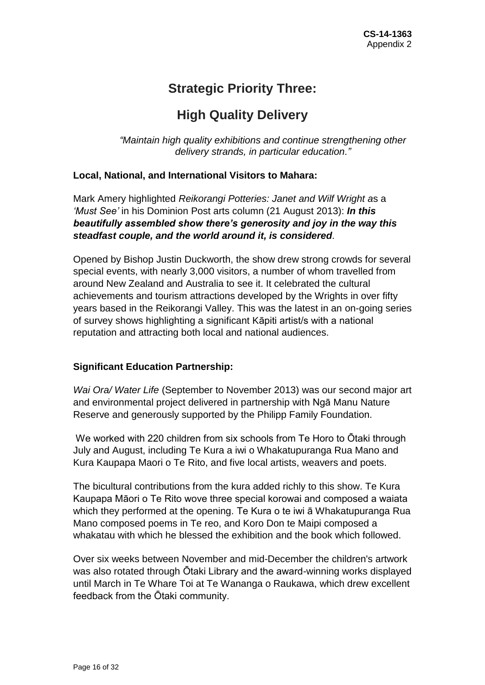# **Strategic Priority Three:**

# **High Quality Delivery**

*"Maintain high quality exhibitions and continue strengthening other delivery strands, in particular education."*

# **Local, National, and International Visitors to Mahara:**

Mark Amery highlighted *Reikorangi Potteries: Janet and Wilf Wright a*s a *'Must See'* in his Dominion Post arts column (21 August 2013): *In this beautifully assembled show there's generosity and joy in the way this steadfast couple, and the world around it, is considered.* 

Opened by Bishop Justin Duckworth, the show drew strong crowds for several special events, with nearly 3,000 visitors, a number of whom travelled from around New Zealand and Australia to see it. It celebrated the cultural achievements and tourism attractions developed by the Wrights in over fifty years based in the Reikorangi Valley. This was the latest in an on-going series of survey shows highlighting a significant Kāpiti artist/s with a national reputation and attracting both local and national audiences.

# **Significant Education Partnership:**

*Wai Ora/ Water Life* (September to November 2013) was our second major art and environmental project delivered in partnership with Ngā Manu Nature Reserve and generously supported by the Philipp Family Foundation.

We worked with 220 children from six schools from Te Horo to Ōtaki through July and August, including Te Kura a iwi o Whakatupuranga Rua Mano and Kura Kaupapa Maori o Te Rito, and five local artists, weavers and poets.

The bicultural contributions from the kura added richly to this show. Te Kura Kaupapa Māori o Te Rito wove three special korowai and composed a waiata which they performed at the opening. Te Kura o te iwi ā Whakatupuranga Rua Mano composed poems in Te reo, and Koro Don te Maipi composed a whakatau with which he blessed the exhibition and the book which followed.

Over six weeks between November and mid-December the children's artwork was also rotated through Ōtaki Library and the award-winning works displayed until March in Te Whare Toi at Te Wananga o Raukawa, which drew excellent feedback from the Ōtaki community.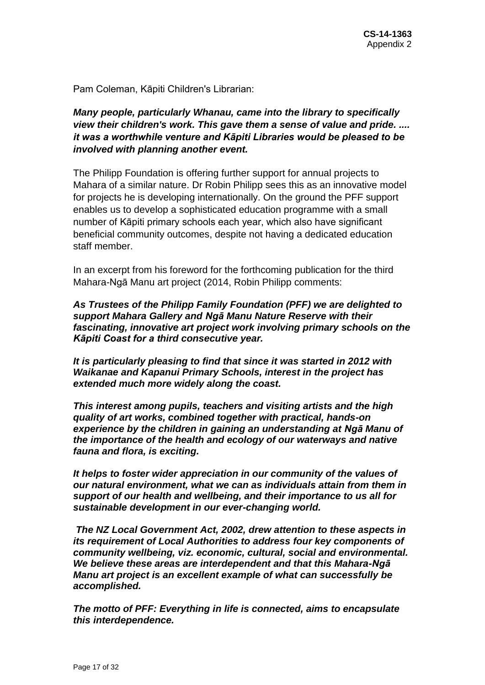Pam Coleman, Kāpiti Children's Librarian:

*Many people, particularly Whanau, came into the library to specifically view their children's work. This gave them a sense of value and pride. .... it was a worthwhile venture and Kāpiti Libraries would be pleased to be involved with planning another event.*

The Philipp Foundation is offering further support for annual projects to Mahara of a similar nature. Dr Robin Philipp sees this as an innovative model for projects he is developing internationally. On the ground the PFF support enables us to develop a sophisticated education programme with a small number of Kāpiti primary schools each year, which also have significant beneficial community outcomes, despite not having a dedicated education staff member.

In an excerpt from his foreword for the forthcoming publication for the third Mahara-Ngā Manu art project (2014, Robin Philipp comments:

*As Trustees of the Philipp Family Foundation (PFF) we are delighted to support Mahara Gallery and Ngā Manu Nature Reserve with their fascinating, innovative art project work involving primary schools on the Kāpiti Coast for a third consecutive year.* 

*It is particularly pleasing to find that since it was started in 2012 with Waikanae and Kapanui Primary Schools, interest in the project has extended much more widely along the coast.*

*This interest among pupils, teachers and visiting artists and the high quality of art works, combined together with practical, hands-on experience by the children in gaining an understanding at Ngā Manu of the importance of the health and ecology of our waterways and native fauna and flora, is exciting.*

*It helps to foster wider appreciation in our community of the values of our natural environment, what we can as individuals attain from them in support of our health and wellbeing, and their importance to us all for sustainable development in our ever-changing world.*

*The NZ Local Government Act, 2002, drew attention to these aspects in its requirement of Local Authorities to address four key components of community wellbeing, viz. economic, cultural, social and environmental. We believe these areas are interdependent and that this Mahara-Ngā Manu art project is an excellent example of what can successfully be accomplished.*

*The motto of PFF: Everything in life is connected, aims to encapsulate this interdependence.*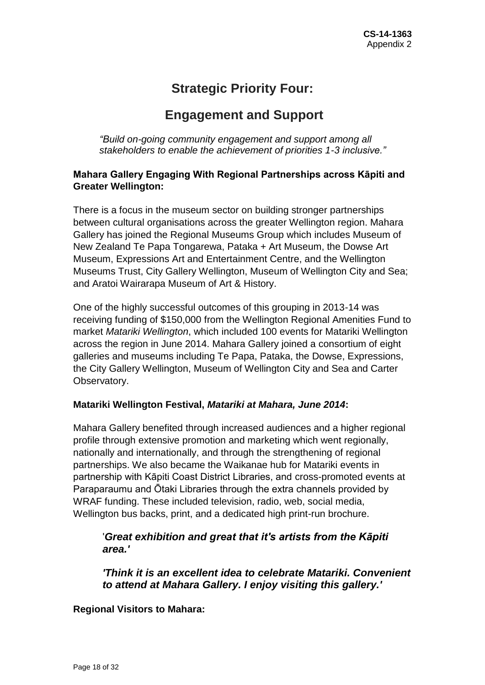# **Strategic Priority Four:**

# **Engagement and Support**

*"Build on-going community engagement and support among all stakeholders to enable the achievement of priorities 1-3 inclusive."*

# **Mahara Gallery Engaging With Regional Partnerships across Kāpiti and Greater Wellington:**

There is a focus in the museum sector on building stronger partnerships between cultural organisations across the greater Wellington region. Mahara Gallery has joined the Regional Museums Group which includes Museum of New Zealand Te Papa Tongarewa, Pataka + Art Museum, the Dowse Art Museum, Expressions Art and Entertainment Centre, and the Wellington Museums Trust, City Gallery Wellington, Museum of Wellington City and Sea; and Aratoi Wairarapa Museum of Art & History.

One of the highly successful outcomes of this grouping in 2013-14 was receiving funding of \$150,000 from the Wellington Regional Amenities Fund to market *Matariki Wellington*, which included 100 events for Matariki Wellington across the region in June 2014. Mahara Gallery joined a consortium of eight galleries and museums including Te Papa, Pataka, the Dowse, Expressions, the City Gallery Wellington, Museum of Wellington City and Sea and Carter Observatory.

# **Matariki Wellington Festival,** *Matariki at Mahara, June 2014***:**

Mahara Gallery benefited through increased audiences and a higher regional profile through extensive promotion and marketing which went regionally, nationally and internationally, and through the strengthening of regional partnerships. We also became the Waikanae hub for Matariki events in partnership with Kāpiti Coast District Libraries, and cross-promoted events at Paraparaumu and Ōtaki Libraries through the extra channels provided by WRAF funding. These included television, radio, web, social media, Wellington bus backs, print, and a dedicated high print-run brochure.

# '*Great exhibition and great that it's artists from the Kāpiti area.'*

*'Think it is an excellent idea to celebrate Matariki. Convenient to attend at Mahara Gallery. I enjoy visiting this gallery.'*

# **Regional Visitors to Mahara:**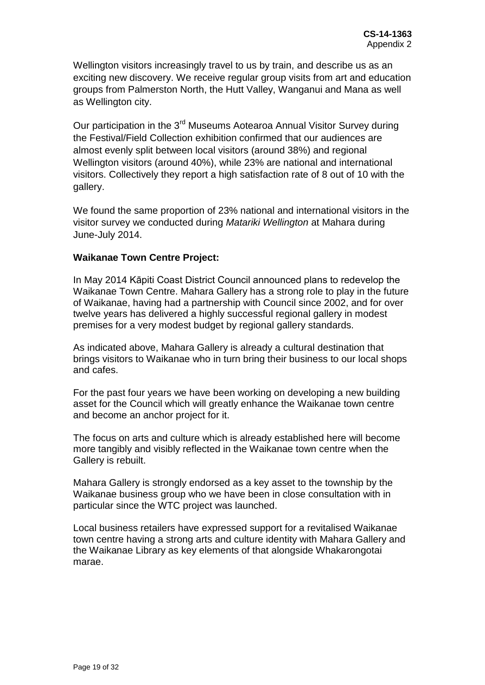Wellington visitors increasingly travel to us by train, and describe us as an exciting new discovery. We receive regular group visits from art and education groups from Palmerston North, the Hutt Valley, Wanganui and Mana as well as Wellington city.

Our participation in the 3<sup>rd</sup> Museums Aotearoa Annual Visitor Survey during the Festival/Field Collection exhibition confirmed that our audiences are almost evenly split between local visitors (around 38%) and regional Wellington visitors (around 40%), while 23% are national and international visitors. Collectively they report a high satisfaction rate of 8 out of 10 with the gallery.

We found the same proportion of 23% national and international visitors in the visitor survey we conducted during *Matariki Wellington* at Mahara during June-July 2014.

### **Waikanae Town Centre Project:**

In May 2014 Kāpiti Coast District Council announced plans to redevelop the Waikanae Town Centre. Mahara Gallery has a strong role to play in the future of Waikanae, having had a partnership with Council since 2002, and for over twelve years has delivered a highly successful regional gallery in modest premises for a very modest budget by regional gallery standards.

As indicated above, Mahara Gallery is already a cultural destination that brings visitors to Waikanae who in turn bring their business to our local shops and cafes.

For the past four years we have been working on developing a new building asset for the Council which will greatly enhance the Waikanae town centre and become an anchor project for it.

The focus on arts and culture which is already established here will become more tangibly and visibly reflected in the Waikanae town centre when the Gallery is rebuilt.

Mahara Gallery is strongly endorsed as a key asset to the township by the Waikanae business group who we have been in close consultation with in particular since the WTC project was launched.

Local business retailers have expressed support for a revitalised Waikanae town centre having a strong arts and culture identity with Mahara Gallery and the Waikanae Library as key elements of that alongside Whakarongotai marae.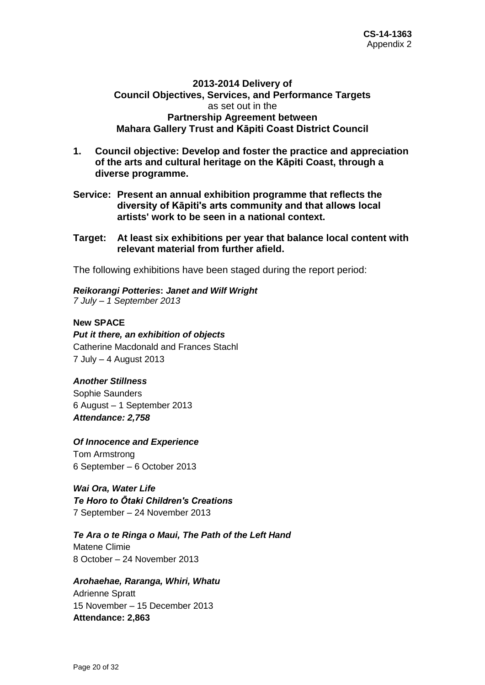### **2013-2014 Delivery of Council Objectives, Services, and Performance Targets** as set out in the **Partnership Agreement between Mahara Gallery Trust and Kāpiti Coast District Council**

- **1. Council objective: Develop and foster the practice and appreciation of the arts and cultural heritage on the Kāpiti Coast, through a diverse programme.**
- **Service: Present an annual exhibition programme that reflects the diversity of Kāpiti's arts community and that allows local artists' work to be seen in a national context.**
- **Target: At least six exhibitions per year that balance local content with relevant material from further afield.**

The following exhibitions have been staged during the report period:

*Reikorangi Potteries***:** *Janet and Wilf Wright 7 July – 1 September 2013*

### **New SPACE**

*Put it there, an exhibition of objects* Catherine Macdonald and Frances Stachl 7 July – 4 August 2013

#### *Another Stillness*

Sophie Saunders 6 August – 1 September 2013 *Attendance: 2,758*

#### *Of Innocence and Experience*

Tom Armstrong 6 September – 6 October 2013

*Wai Ora, Water Life Te Horo to Ōtaki Children's Creations* 7 September – 24 November 2013

*Te Ara o te Ringa o Maui, The Path of the Left Hand* Matene Climie

8 October – 24 November 2013

### *Arohaehae, Raranga, Whiri, Whatu*

Adrienne Spratt 15 November – 15 December 2013 **Attendance: 2,863**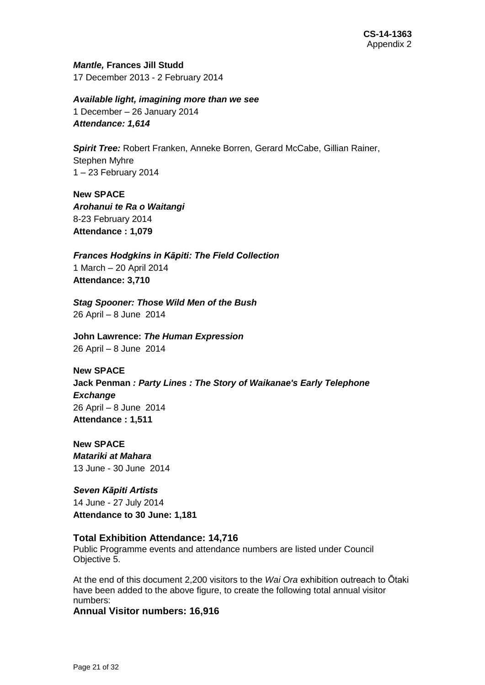*Mantle,* **Frances Jill Studd** 17 December 2013 - 2 February 2014

*Available light, imagining more than we see* 1 December – 26 January 2014 *Attendance: 1,614*

*Spirit Tree:* Robert Franken, Anneke Borren, Gerard McCabe, Gillian Rainer, Stephen Myhre 1 – 23 February 2014

**New SPACE** *Arohanui te Ra o Waitangi* 8-23 February 2014 **Attendance : 1,079**

*Frances Hodgkins in Kāpiti: The Field Collection* 1 March – 20 April 2014 **Attendance: 3,710**

*Stag Spooner: Those Wild Men of the Bush* 26 April – 8 June 2014

**John Lawrence:** *The Human Expression* 26 April – 8 June 2014

**New SPACE Jack Penman** *: Party Lines : The Story of Waikanae's Early Telephone Exchange* 26 April – 8 June 2014 **Attendance : 1,511**

**New SPACE** *Matariki at Mahara* 13 June - 30 June 2014

*Seven Kāpiti Artists* 14 June - 27 July 2014 **Attendance to 30 June: 1,181**

### **Total Exhibition Attendance: 14,716**

Public Programme events and attendance numbers are listed under Council Objective 5.

At the end of this document 2,200 visitors to the *Wai Ora* exhibition outreach to Ōtaki have been added to the above figure, to create the following total annual visitor numbers:

**Annual Visitor numbers: 16,916**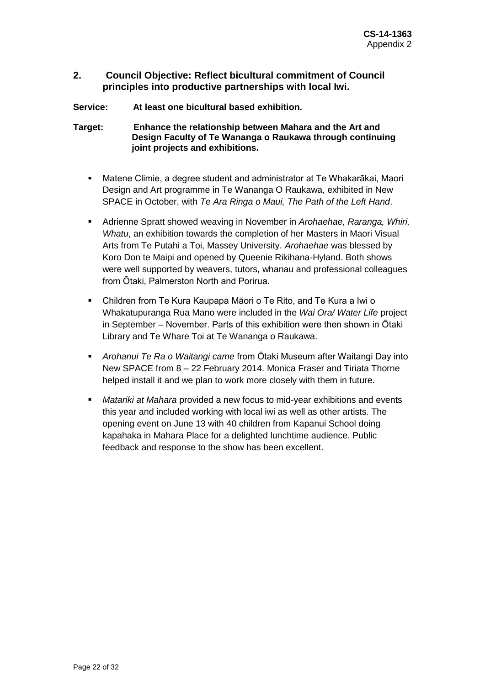### **2. Council Objective: Reflect bicultural commitment of Council principles into productive partnerships with local Iwi.**

**Service: At least one bicultural based exhibition.**

**Target: Enhance the relationship between Mahara and the Art and Design Faculty of Te Wananga o Raukawa through continuing joint projects and exhibitions.**

- Matene Climie, a degree student and administrator at Te Whakarākai, Maori Design and Art programme in Te Wananga O Raukawa, exhibited in New SPACE in October, with *Te Ara Ringa o Maui, The Path of the Left Hand*.
- Adrienne Spratt showed weaving in November in *Arohaehae, Raranga, Whiri, Whatu*, an exhibition towards the completion of her Masters in Maori Visual Arts from Te Putahi a Toi, Massey University. *Arohaehae* was blessed by Koro Don te Maipi and opened by Queenie Rikihana-Hyland. Both shows were well supported by weavers, tutors, whanau and professional colleagues from Ōtaki, Palmerston North and Porirua.
- Children from Te Kura Kaupapa Māori o Te Rito, and Te Kura a Iwi o Whakatupuranga Rua Mano were included in the *Wai Ora/ Water Life* project in September – November. Parts of this exhibition were then shown in Ōtaki Library and Te Whare Toi at Te Wananga o Raukawa.
- *Arohanui Te Ra o Waitangi came* from Ōtaki Museum after Waitangi Day into New SPACE from 8 – 22 February 2014. Monica Fraser and Tiriata Thorne helped install it and we plan to work more closely with them in future.
- *Matariki at Mahara* provided a new focus to mid-year exhibitions and events this year and included working with local iwi as well as other artists. The opening event on June 13 with 40 children from Kapanui School doing kapahaka in Mahara Place for a delighted lunchtime audience. Public feedback and response to the show has been excellent.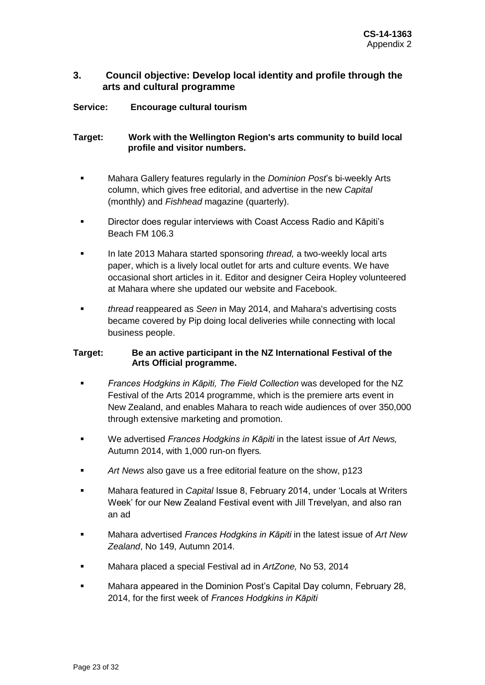### **3. Council objective: Develop local identity and profile through the arts and cultural programme**

### **Service: Encourage cultural tourism**

### **Target: Work with the Wellington Region's arts community to build local profile and visitor numbers.**

- Mahara Gallery features regularly in the *Dominion Post*'s bi-weekly Arts column, which gives free editorial, and advertise in the new *Capital* (monthly) and *Fishhead* magazine (quarterly).
- Director does regular interviews with Coast Access Radio and Kāpiti's Beach FM 106.3
- In late 2013 Mahara started sponsoring *thread,* a two-weekly local arts paper, which is a lively local outlet for arts and culture events. We have occasional short articles in it. Editor and designer Ceira Hopley volunteered at Mahara where she updated our website and Facebook.
- *thread* reappeared as *Seen* in May 2014, and Mahara's advertising costs became covered by Pip doing local deliveries while connecting with local business people.

### **Target: Be an active participant in the NZ International Festival of the Arts Official programme.**

- *Frances Hodgkins in Kāpiti, The Field Collection* was developed for the NZ Festival of the Arts 2014 programme, which is the premiere arts event in New Zealand, and enables Mahara to reach wide audiences of over 350,000 through extensive marketing and promotion.
- We advertised *Frances Hodgkins in Kāpiti* in the latest issue of *Art News,*  Autumn 2014, with 1,000 run-on flyers*.*
- *Art News* also gave us a free editorial feature on the show, p123
- **Mahara featured in** *Capital* Issue 8, February 2014, under 'Locals at Writers Week' for our New Zealand Festival event with Jill Trevelyan, and also ran an ad
- Mahara advertised *Frances Hodgkins in Kāpiti* in the latest issue of *Art New Zealand*, No 149, Autumn 2014.
- Mahara placed a special Festival ad in *ArtZone,* No 53, 2014
- Mahara appeared in the Dominion Post's Capital Day column, February 28, 2014, for the first week of *Frances Hodgkins in Kāpiti*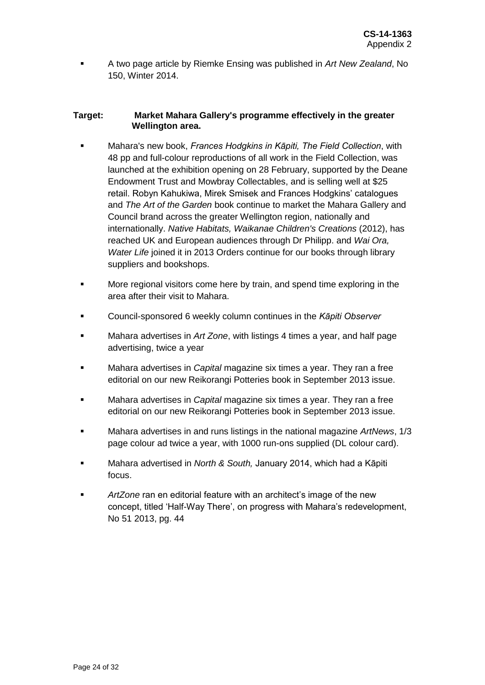A two page article by Riemke Ensing was published in *Art New Zealand*, No 150, Winter 2014.

#### **Target: Market Mahara Gallery's programme effectively in the greater Wellington area.**

- Mahara's new book, *Frances Hodgkins in Kāpiti, The Field Collection*, with 48 pp and full-colour reproductions of all work in the Field Collection, was launched at the exhibition opening on 28 February, supported by the Deane Endowment Trust and Mowbray Collectables, and is selling well at \$25 retail. Robyn Kahukiwa, Mirek Smisek and Frances Hodgkins' catalogues and *The Art of the Garden* book continue to market the Mahara Gallery and Council brand across the greater Wellington region, nationally and internationally. *Native Habitats, Waikanae Children's Creations* (2012), has reached UK and European audiences through Dr Philipp. and *Wai Ora, Water Life* joined it in 2013 Orders continue for our books through library suppliers and bookshops.
- **More regional visitors come here by train, and spend time exploring in the** area after their visit to Mahara.
- Council-sponsored 6 weekly column continues in the *Kāpiti Observer*
- Mahara advertises in *Art Zone*, with listings 4 times a year, and half page advertising, twice a year
- Mahara advertises in *Capital* magazine six times a year. They ran a free editorial on our new Reikorangi Potteries book in September 2013 issue.
- Mahara advertises in *Capital* magazine six times a year. They ran a free editorial on our new Reikorangi Potteries book in September 2013 issue.
- Mahara advertises in and runs listings in the national magazine *ArtNews*, 1/3 page colour ad twice a year, with 1000 run-ons supplied (DL colour card).
- Mahara advertised in *North & South,* January 2014, which had a Kāpiti focus.
- *ArtZone* ran en editorial feature with an architect's image of the new concept, titled 'Half-Way There', on progress with Mahara's redevelopment, No 51 2013, pg. 44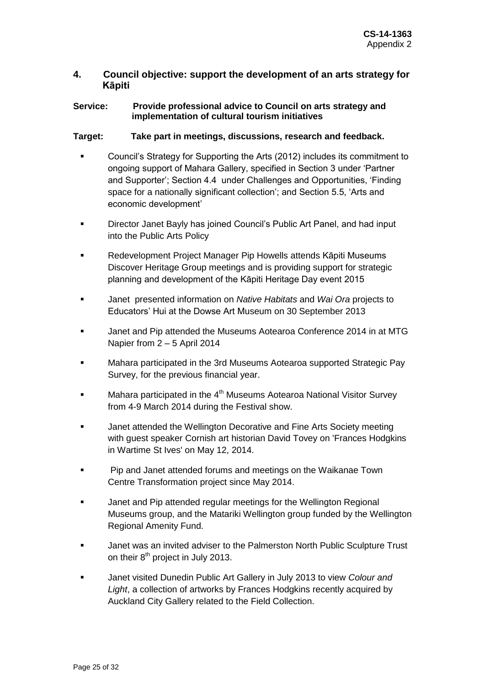### **4. Council objective: support the development of an arts strategy for Kāpiti**

### **Service: Provide professional advice to Council on arts strategy and implementation of cultural tourism initiatives**

### **Target: Take part in meetings, discussions, research and feedback.**

- Council's Strategy for Supporting the Arts (2012) includes its commitment to ongoing support of Mahara Gallery, specified in Section 3 under 'Partner and Supporter'; Section 4.4 under Challenges and Opportunities, 'Finding space for a nationally significant collection'; and Section 5.5, 'Arts and economic development'
- **Director Janet Bayly has joined Council's Public Art Panel, and had input** into the Public Arts Policy
- Redevelopment Project Manager Pip Howells attends Kāpiti Museums Discover Heritage Group meetings and is providing support for strategic planning and development of the Kāpiti Heritage Day event 2015
- Janet presented information on *Native Habitats* and *Wai Ora* projects to Educators' Hui at the Dowse Art Museum on 30 September 2013
- Janet and Pip attended the Museums Aotearoa Conference 2014 in at MTG Napier from 2 – 5 April 2014
- Mahara participated in the 3rd Museums Aotearoa supported Strategic Pay Survey, for the previous financial year.
- $\blacksquare$  Mahara participated in the 4<sup>th</sup> Museums Aotearoa National Visitor Survey from 4-9 March 2014 during the Festival show.
- Janet attended the Wellington Decorative and Fine Arts Society meeting with guest speaker Cornish art historian David Tovey on 'Frances Hodgkins in Wartime St Ives' on May 12, 2014.
- **Pip and Janet attended forums and meetings on the Waikanae Town** Centre Transformation project since May 2014.
- **Janet and Pip attended regular meetings for the Wellington Regional** Museums group, and the Matariki Wellington group funded by the Wellington Regional Amenity Fund.
- Janet was an invited adviser to the Palmerston North Public Sculpture Trust on their  $8<sup>th</sup>$  project in July 2013.
- Janet visited Dunedin Public Art Gallery in July 2013 to view *Colour and Light*, a collection of artworks by Frances Hodgkins recently acquired by Auckland City Gallery related to the Field Collection.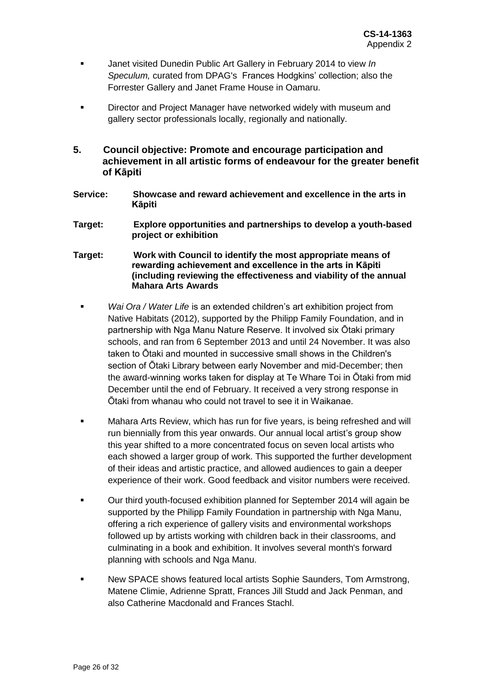- Janet visited Dunedin Public Art Gallery in February 2014 to view *In Speculum,* curated from DPAG's Frances Hodgkins' collection; also the Forrester Gallery and Janet Frame House in Oamaru.
- Director and Project Manager have networked widely with museum and gallery sector professionals locally, regionally and nationally.
- **5. Council objective: Promote and encourage participation and achievement in all artistic forms of endeavour for the greater benefit of Kāpiti**
- **Service: Showcase and reward achievement and excellence in the arts in Kāpiti**
- **Target: Explore opportunities and partnerships to develop a youth-based project or exhibition**
- **Target: Work with Council to identify the most appropriate means of rewarding achievement and excellence in the arts in Kāpiti (including reviewing the effectiveness and viability of the annual Mahara Arts Awards**
	- *Wai Ora / Water Life* is an extended children's art exhibition project from Native Habitats (2012), supported by the Philipp Family Foundation, and in partnership with Nga Manu Nature Reserve. It involved six Ōtaki primary schools, and ran from 6 September 2013 and until 24 November. It was also taken to Ōtaki and mounted in successive small shows in the Children's section of Ōtaki Library between early November and mid-December; then the award-winning works taken for display at Te Whare Toi in Ōtaki from mid December until the end of February. It received a very strong response in Ōtaki from whanau who could not travel to see it in Waikanae.
	- **Mahara Arts Review, which has run for five years, is being refreshed and will** run biennially from this year onwards. Our annual local artist's group show this year shifted to a more concentrated focus on seven local artists who each showed a larger group of work. This supported the further development of their ideas and artistic practice, and allowed audiences to gain a deeper experience of their work. Good feedback and visitor numbers were received.
	- Our third youth-focused exhibition planned for September 2014 will again be supported by the Philipp Family Foundation in partnership with Nga Manu, offering a rich experience of gallery visits and environmental workshops followed up by artists working with children back in their classrooms, and culminating in a book and exhibition. It involves several month's forward planning with schools and Nga Manu.
	- New SPACE shows featured local artists Sophie Saunders, Tom Armstrong, Matene Climie, Adrienne Spratt, Frances Jill Studd and Jack Penman, and also Catherine Macdonald and Frances Stachl.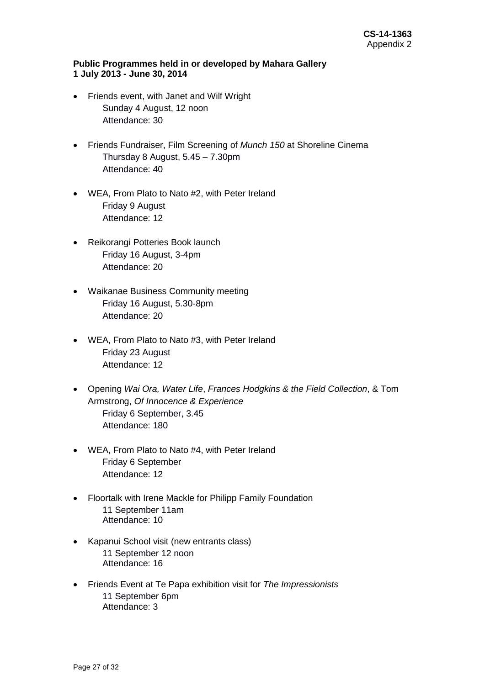#### **Public Programmes held in or developed by Mahara Gallery 1 July 2013 - June 30, 2014**

- Friends event, with Janet and Wilf Wright Sunday 4 August, 12 noon Attendance: 30
- Friends Fundraiser, Film Screening of *Munch 150* at Shoreline Cinema Thursday 8 August, 5.45 – 7.30pm Attendance: 40
- WEA, From Plato to Nato #2, with Peter Ireland Friday 9 August Attendance: 12
- Reikorangi Potteries Book launch Friday 16 August, 3-4pm Attendance: 20
- Waikanae Business Community meeting Friday 16 August, 5.30-8pm Attendance: 20
- WEA, From Plato to Nato #3, with Peter Ireland Friday 23 August Attendance: 12
- Opening *Wai Ora, Water Life*, *Frances Hodgkins & the Field Collection*, & Tom Armstrong, *Of Innocence & Experience* Friday 6 September, 3.45 Attendance: 180
- WEA, From Plato to Nato #4, with Peter Ireland Friday 6 September Attendance: 12
- Floortalk with Irene Mackle for Philipp Family Foundation 11 September 11am Attendance: 10
- Kapanui School visit (new entrants class) 11 September 12 noon Attendance: 16
- Friends Event at Te Papa exhibition visit for *The Impressionists* 11 September 6pm Attendance: 3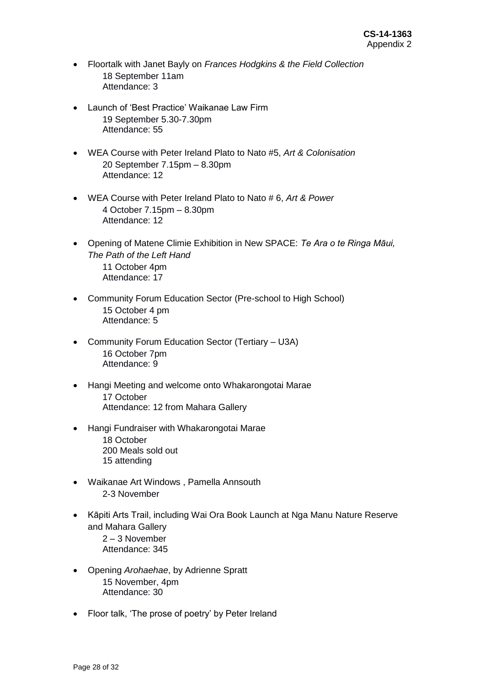- Floortalk with Janet Bayly on *Frances Hodgkins & the Field Collection* 18 September 11am Attendance: 3
- Launch of 'Best Practice' Waikanae Law Firm 19 September 5.30-7.30pm Attendance: 55
- WEA Course with Peter Ireland Plato to Nato #5, *Art & Colonisation* 20 September 7.15pm – 8.30pm Attendance: 12
- WEA Course with Peter Ireland Plato to Nato # 6, *Art & Power* 4 October 7.15pm – 8.30pm Attendance: 12
- Opening of Matene Climie Exhibition in New SPACE: *Te Ara o te Ringa Māui, The Path of the Left Hand* 11 October 4pm Attendance: 17
- Community Forum Education Sector (Pre-school to High School) 15 October 4 pm Attendance: 5
- Community Forum Education Sector (Tertiary U3A) 16 October 7pm Attendance: 9
- Hangi Meeting and welcome onto Whakarongotai Marae 17 October Attendance: 12 from Mahara Gallery
- Hangi Fundraiser with Whakarongotai Marae 18 October 200 Meals sold out 15 attending
- Waikanae Art Windows , Pamella Annsouth 2-3 November
- Kāpiti Arts Trail, including Wai Ora Book Launch at Nga Manu Nature Reserve and Mahara Gallery 2 – 3 November Attendance: 345
- Opening *Arohaehae*, by Adrienne Spratt 15 November, 4pm Attendance: 30
- Floor talk, 'The prose of poetry' by Peter Ireland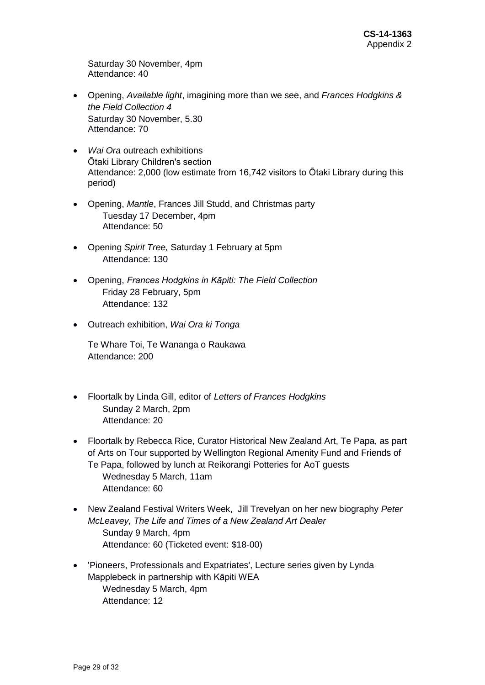Saturday 30 November, 4pm Attendance: 40

- Opening, *Available light*, imagining more than we see, and *Frances Hodgkins & the Field Collection 4* Saturday 30 November, 5.30 Attendance: 70
- *Wai Ora* outreach exhibitions Ōtaki Library Children's section Attendance: 2,000 (low estimate from 16,742 visitors to Ōtaki Library during this period)
- Opening, *Mantle*, Frances Jill Studd, and Christmas party Tuesday 17 December, 4pm Attendance: 50
- Opening *Spirit Tree,* Saturday 1 February at 5pm Attendance: 130
- Opening, *Frances Hodgkins in Kāpiti: The Field Collection* Friday 28 February, 5pm Attendance: 132
- Outreach exhibition, *Wai Ora ki Tonga*

Te Whare Toi, Te Wananga o Raukawa Attendance: 200

- Floortalk by Linda Gill, editor of *Letters of Frances Hodgkins* Sunday 2 March, 2pm Attendance: 20
- Floortalk by Rebecca Rice, Curator Historical New Zealand Art, Te Papa, as part of Arts on Tour supported by Wellington Regional Amenity Fund and Friends of Te Papa, followed by lunch at Reikorangi Potteries for AoT guests Wednesday 5 March, 11am Attendance: 60
- New Zealand Festival Writers Week, Jill Trevelyan on her new biography *Peter McLeavey, The Life and Times of a New Zealand Art Dealer* Sunday 9 March, 4pm Attendance: 60 (Ticketed event: \$18-00)
- 'Pioneers, Professionals and Expatriates', Lecture series given by Lynda Mapplebeck in partnership with Kāpiti WEA Wednesday 5 March, 4pm Attendance: 12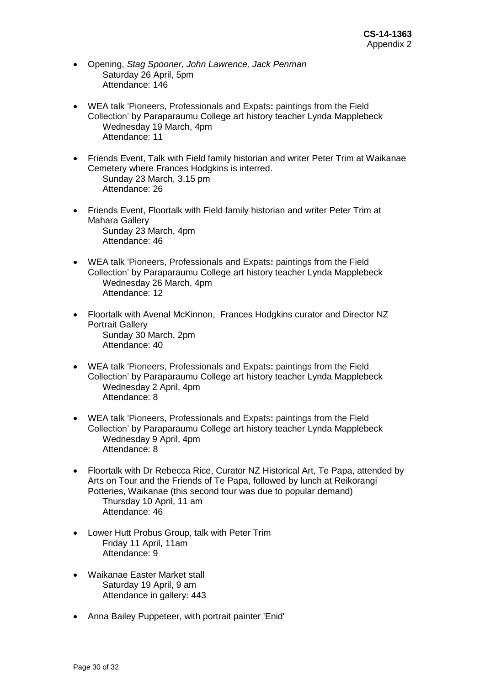- Opening, *Stag Spooner, John Lawrence, Jack Penman* Saturday 26 April, 5pm Attendance: 146
- WEA talk 'Pioneers, Professionals and Expats**:** paintings from the Field Collection' by Paraparaumu College art history teacher Lynda Mapplebeck Wednesday 19 March, 4pm Attendance: 11
- Friends Event, Talk with Field family historian and writer Peter Trim at Waikanae Cemetery where Frances Hodgkins is interred. Sunday 23 March, 3.15 pm Attendance: 26
- Friends Event, Floortalk with Field family historian and writer Peter Trim at Mahara Gallery Sunday 23 March, 4pm Attendance: 46
- WEA talk 'Pioneers, Professionals and Expats**:** paintings from the Field Collection' by Paraparaumu College art history teacher Lynda Mapplebeck Wednesday 26 March, 4pm Attendance: 12
- Floortalk with Avenal McKinnon, Frances Hodgkins curator and Director NZ Portrait Gallery Sunday 30 March, 2pm Attendance: 40
- WEA talk 'Pioneers, Professionals and Expats**:** paintings from the Field Collection' by Paraparaumu College art history teacher Lynda Mapplebeck Wednesday 2 April, 4pm Attendance: 8
- WEA talk 'Pioneers, Professionals and Expats**:** paintings from the Field Collection' by Paraparaumu College art history teacher Lynda Mapplebeck Wednesday 9 April, 4pm Attendance: 8
- Floortalk with Dr Rebecca Rice, Curator NZ Historical Art, Te Papa, attended by Arts on Tour and the Friends of Te Papa, followed by lunch at Reikorangi Potteries, Waikanae (this second tour was due to popular demand) Thursday 10 April, 11 am Attendance: 46
- Lower Hutt Probus Group, talk with Peter Trim Friday 11 April, 11am Attendance: 9
- Waikanae Easter Market stall Saturday 19 April, 9 am Attendance in gallery: 443
- Anna Bailey Puppeteer, with portrait painter 'Enid'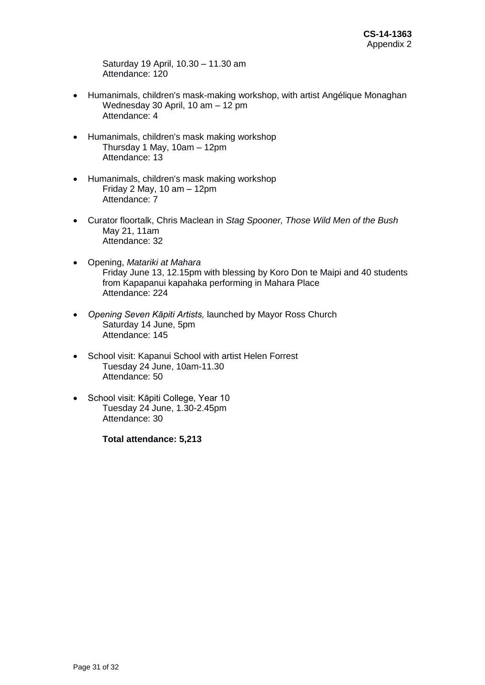Saturday 19 April, 10.30 – 11.30 am Attendance: 120

- Humanimals, children's mask-making workshop, with artist Angélique Monaghan Wednesday 30 April, 10 am – 12 pm Attendance: 4
- Humanimals, children's mask making workshop Thursday 1 May, 10am – 12pm Attendance: 13
- Humanimals, children's mask making workshop Friday 2 May, 10 am – 12pm Attendance: 7
- Curator floortalk, Chris Maclean in *Stag Spooner, Those Wild Men of the Bush* May 21, 11am Attendance: 32
- Opening, *Matariki at Mahara* Friday June 13, 12.15pm with blessing by Koro Don te Maipi and 40 students from Kapapanui kapahaka performing in Mahara Place Attendance: 224
- *Opening Seven Kāpiti Artists,* launched by Mayor Ross Church Saturday 14 June, 5pm Attendance: 145
- School visit: Kapanui School with artist Helen Forrest Tuesday 24 June, 10am-11.30 Attendance: 50
- School visit: Kāpiti College, Year 10 Tuesday 24 June, 1.30-2.45pm Attendance: 30

**Total attendance: 5,213**